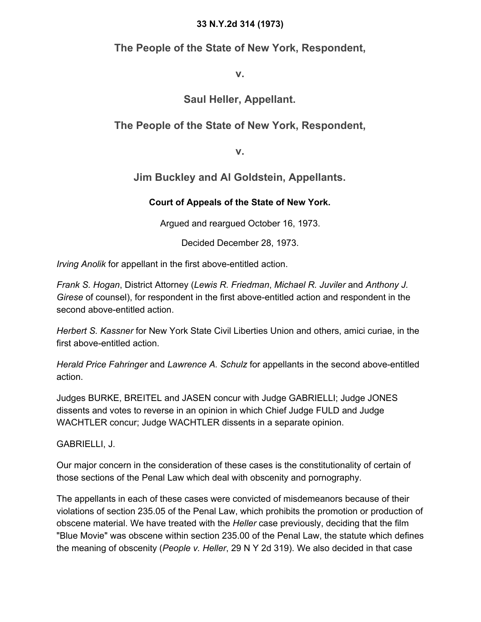#### **33 N.Y.2d 314 (1973)**

## **The People of the State of New York, Respondent,**

**v.**

## **Saul Heller, Appellant.**

## **The People of the State of New York, Respondent,**

**v.**

## **Jim Buckley and Al Goldstein, Appellants.**

#### **Court of Appeals of the State of New York.**

Argued and reargued October 16, 1973.

Decided December 28, 1973.

*Irving Anolik* for appellant in the first above-entitled action.

*Frank S. Hogan*, District Attorney (*Lewis R. Friedman*, *Michael R. Juviler* and *Anthony J. Girese* of counsel), for respondent in the first above-entitled action and respondent in the second above-entitled action.

*Herbert S. Kassner* for New York State Civil Liberties Union and others, amici curiae, in the first above-entitled action.

*Herald Price Fahringer* and *Lawrence A. Schulz* for appellants in the second above-entitled action.

Judges BURKE, BREITEL and JASEN concur with Judge GABRIELLI; Judge JONES dissents and votes to reverse in an opinion in which Chief Judge FULD and Judge WACHTLER concur; Judge WACHTLER dissents in a separate opinion.

GABRIELLI, J.

Our major concern in the consideration of these cases is the constitutionality of certain of those sections of the Penal Law which deal with obscenity and pornography.

The appellants in each of these cases were convicted of misdemeanors because of their violations of section 235.05 of the Penal Law, which prohibits the promotion or production of obscene material. We have treated with the *Heller* case previously, deciding that the film "Blue Movie" was obscene within section 235.00 of the Penal Law, the statute which defines the meaning of obscenity (*People v. Heller*, 29 N Y 2d 319). We also decided in that case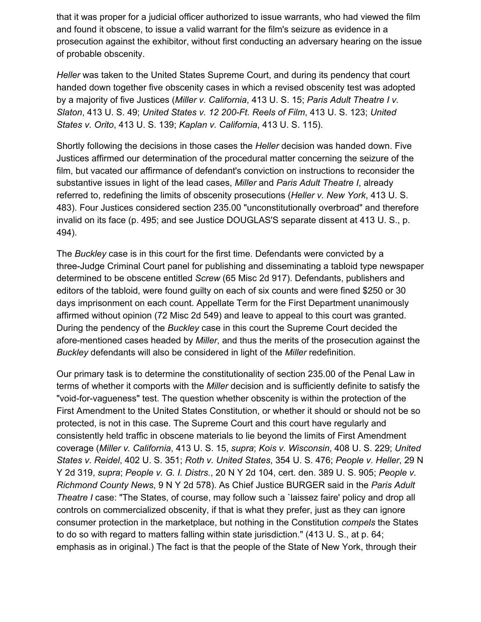that it was proper for a judicial officer authorized to issue warrants, who had viewed the film and found it obscene, to issue a valid warrant for the film's seizure as evidence in a prosecution against the exhibitor, without first conducting an adversary hearing on the issue of probable obscenity.

*Heller* was taken to the United States Supreme Court, and during its pendency that court handed down together five obscenity cases in which a revised obscenity test was adopted by a majority of five Justices (*Miller v. California*, 413 U. S. 15; *Paris Adult Theatre I v. Slaton*, 413 U. S. 49; *United States v. 12 200-Ft. Reels of Film*, 413 U. S. 123; *United States v. Orito*, 413 U. S. 139; *Kaplan v. California*, 413 U. S. 115).

Shortly following the decisions in those cases the *Heller* decision was handed down. Five Justices affirmed our determination of the procedural matter concerning the seizure of the film, but vacated our affirmance of defendant's conviction on instructions to reconsider the substantive issues in light of the lead cases, *Miller* and *Paris Adult Theatre I*, already referred to, redefining the limits of obscenity prosecutions (*Heller v. New York*, 413 U. S. 483). Four Justices considered section 235.00 "unconstitutionally overbroad" and therefore invalid on its face (p. 495; and see Justice DOUGLAS'S separate dissent at 413 U. S., p. 494).

The *Buckley* case is in this court for the first time. Defendants were convicted by a three-Judge Criminal Court panel for publishing and disseminating a tabloid type newspaper determined to be obscene entitled *Screw* (65 Misc 2d 917). Defendants, publishers and editors of the tabloid, were found guilty on each of six counts and were fined \$250 or 30 days imprisonment on each count. Appellate Term for the First Department unanimously affirmed without opinion (72 Misc 2d 549) and leave to appeal to this court was granted. During the pendency of the *Buckley* case in this court the Supreme Court decided the afore-mentioned cases headed by *Miller*, and thus the merits of the prosecution against the *Buckley* defendants will also be considered in light of the *Miller* redefinition.

Our primary task is to determine the constitutionality of section 235.00 of the Penal Law in terms of whether it comports with the *Miller* decision and is sufficiently definite to satisfy the "void-for-vagueness" test. The question whether obscenity is within the protection of the First Amendment to the United States Constitution, or whether it should or should not be so protected, is not in this case. The Supreme Court and this court have regularly and consistently held traffic in obscene materials to lie beyond the limits of First Amendment coverage (*Miller v. California*, 413 U. S. 15, *supra*; *Kois v. Wisconsin*, 408 U. S. 229; *United States v. Reidel*, 402 U. S. 351; *Roth v. United States*, 354 U. S. 476; *People v. Heller*, 29 N Y 2d 319, *supra*; *People v. G. I. Distrs.*, 20 N Y 2d 104, cert. den. 389 U. S. 905; *People v. Richmond County News*, 9 N Y 2d 578). As Chief Justice BURGER said in the *Paris Adult Theatre I* case: "The States, of course, may follow such a `laissez faire' policy and drop all controls on commercialized obscenity, if that is what they prefer, just as they can ignore consumer protection in the marketplace, but nothing in the Constitution *compels* the States to do so with regard to matters falling within state jurisdiction." (413 U. S., at p. 64; emphasis as in original.) The fact is that the people of the State of New York, through their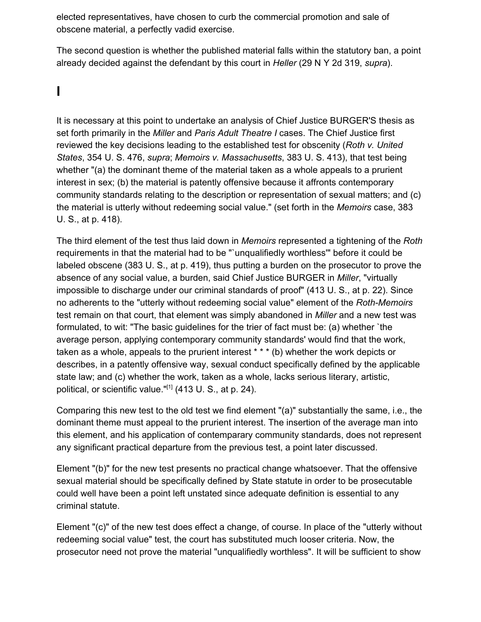elected representatives, have chosen to curb the commercial promotion and sale of obscene material, a perfectly vadid exercise.

The second question is whether the published material falls within the statutory ban, a point already decided against the defendant by this court in *Heller* (29 N Y 2d 319, *supra*).

# **I**

It is necessary at this point to undertake an analysis of Chief Justice BURGER'S thesis as set forth primarily in the *Miller* and *Paris Adult Theatre I* cases. The Chief Justice first reviewed the key decisions leading to the established test for obscenity (*Roth v. United States*, 354 U. S. 476, *supra*; *Memoirs v. Massachusetts*, 383 U. S. 413), that test being whether "(a) the dominant theme of the material taken as a whole appeals to a prurient interest in sex; (b) the material is patently offensive because it affronts contemporary community standards relating to the description or representation of sexual matters; and (c) the material is utterly without redeeming social value." (set forth in the *Memoirs* case, 383 U. S., at p. 418).

The third element of the test thus laid down in *Memoirs* represented a tightening of the *Roth* requirements in that the material had to be "`unqualifiedly worthless'" before it could be labeled obscene (383 U. S., at p. 419), thus putting a burden on the prosecutor to prove the absence of any social value, a burden, said Chief Justice BURGER in *Miller*, "virtually impossible to discharge under our criminal standards of proof" (413 U. S., at p. 22). Since no adherents to the "utterly without redeeming social value" element of the *Roth-Memoirs* test remain on that court, that element was simply abandoned in *Miller* and a new test was formulated, to wit: "The basic guidelines for the trier of fact must be: (a) whether `the average person, applying contemporary community standards' would find that the work, taken as a whole, appeals to the prurient interest \* \* \* (b) whether the work depicts or describes, in a patently offensive way, sexual conduct specifically defined by the applicable state law; and (c) whether the work, taken as a whole, lacks serious literary, artistic, political, or scientific value."[1] (413 U. S., at p. 24).

Comparing this new test to the old test we find element "(a)" substantially the same, i.e., the dominant theme must appeal to the prurient interest. The insertion of the average man into this element, and his application of contemparary community standards, does not represent any significant practical departure from the previous test, a point later discussed.

Element "(b)" for the new test presents no practical change whatsoever. That the offensive sexual material should be specifically defined by State statute in order to be prosecutable could well have been a point left unstated since adequate definition is essential to any criminal statute.

Element "(c)" of the new test does effect a change, of course. In place of the "utterly without redeeming social value" test, the court has substituted much looser criteria. Now, the prosecutor need not prove the material "unqualifiedly worthless". It will be sufficient to show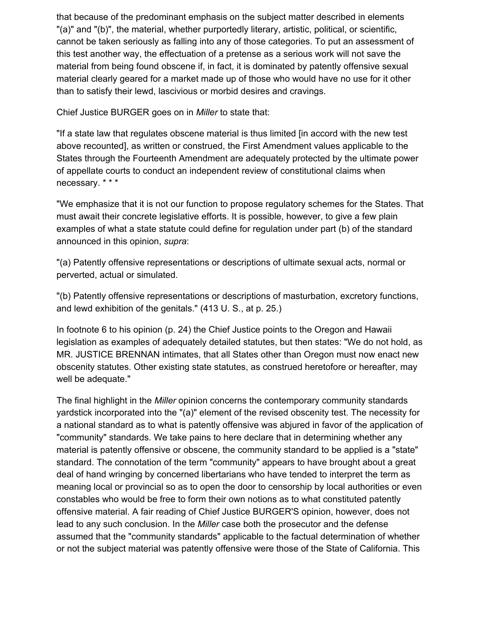that because of the predominant emphasis on the subject matter described in elements "(a)" and "(b)", the material, whether purportedly literary, artistic, political, or scientific, cannot be taken seriously as falling into any of those categories. To put an assessment of this test another way, the effectuation of a pretense as a serious work will not save the material from being found obscene if, in fact, it is dominated by patently offensive sexual material clearly geared for a market made up of those who would have no use for it other than to satisfy their lewd, lascivious or morbid desires and cravings.

Chief Justice BURGER goes on in *Miller* to state that:

"If a state law that regulates obscene material is thus limited [in accord with the new test above recounted], as written or construed, the First Amendment values applicable to the States through the Fourteenth Amendment are adequately protected by the ultimate power of appellate courts to conduct an independent review of constitutional claims when necessary. \* \* \*

"We emphasize that it is not our function to propose regulatory schemes for the States. That must await their concrete legislative efforts. It is possible, however, to give a few plain examples of what a state statute could define for regulation under part (b) of the standard announced in this opinion, *supra*:

"(a) Patently offensive representations or descriptions of ultimate sexual acts, normal or perverted, actual or simulated.

"(b) Patently offensive representations or descriptions of masturbation, excretory functions, and lewd exhibition of the genitals." (413 U. S., at p. 25.)

In footnote 6 to his opinion (p. 24) the Chief Justice points to the Oregon and Hawaii legislation as examples of adequately detailed statutes, but then states: "We do not hold, as MR. JUSTICE BRENNAN intimates, that all States other than Oregon must now enact new obscenity statutes. Other existing state statutes, as construed heretofore or hereafter, may well be adequate."

The final highlight in the *Miller* opinion concerns the contemporary community standards yardstick incorporated into the "(a)" element of the revised obscenity test. The necessity for a national standard as to what is patently offensive was abjured in favor of the application of "community" standards. We take pains to here declare that in determining whether any material is patently offensive or obscene, the community standard to be applied is a "state" standard. The connotation of the term "community" appears to have brought about a great deal of hand wringing by concerned libertarians who have tended to interpret the term as meaning local or provincial so as to open the door to censorship by local authorities or even constables who would be free to form their own notions as to what constituted patently offensive material. A fair reading of Chief Justice BURGER'S opinion, however, does not lead to any such conclusion. In the *Miller* case both the prosecutor and the defense assumed that the "community standards" applicable to the factual determination of whether or not the subject material was patently offensive were those of the State of California. This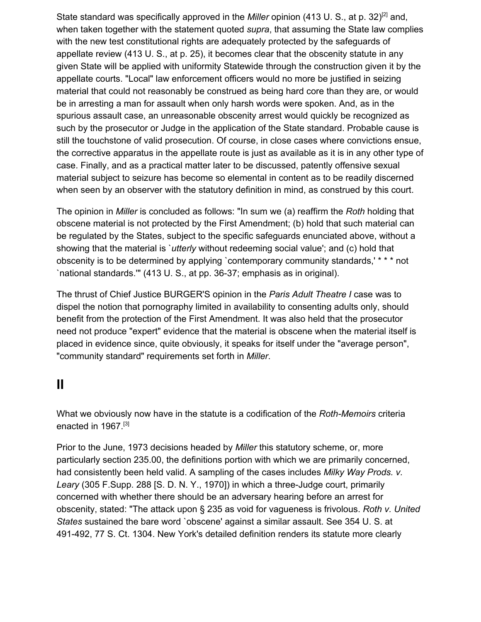State standard was specifically approved in the *Miller* opinion (413 U. S., at p. 32)<sup>[2]</sup> and, when taken together with the statement quoted *supra*, that assuming the State law complies with the new test constitutional rights are adequately protected by the safeguards of appellate review (413 U. S., at p. 25), it becomes clear that the obscenity statute in any given State will be applied with uniformity Statewide through the construction given it by the appellate courts. "Local" law enforcement officers would no more be justified in seizing material that could not reasonably be construed as being hard core than they are, or would be in arresting a man for assault when only harsh words were spoken. And, as in the spurious assault case, an unreasonable obscenity arrest would quickly be recognized as such by the prosecutor or Judge in the application of the State standard. Probable cause is still the touchstone of valid prosecution. Of course, in close cases where convictions ensue, the corrective apparatus in the appellate route is just as available as it is in any other type of case. Finally, and as a practical matter later to be discussed, patently offensive sexual material subject to seizure has become so elemental in content as to be readily discerned when seen by an observer with the statutory definition in mind, as construed by this court.

The opinion in *Miller* is concluded as follows: "In sum we (a) reaffirm the *Roth* holding that obscene material is not protected by the First Amendment; (b) hold that such material can be regulated by the States, subject to the specific safeguards enunciated above, without a showing that the material is `*utterly* without redeeming social value'; and (c) hold that obscenity is to be determined by applying `contemporary community standards,' \* \* \* not `national standards.'" (413 U. S., at pp. 36-37; emphasis as in original).

The thrust of Chief Justice BURGER'S opinion in the *Paris Adult Theatre I* case was to dispel the notion that pornography limited in availability to consenting adults only, should benefit from the protection of the First Amendment. It was also held that the prosecutor need not produce "expert" evidence that the material is obscene when the material itself is placed in evidence since, quite obviously, it speaks for itself under the "average person", "community standard" requirements set forth in *Miller*.

# **II**

What we obviously now have in the statute is a codification of the *Roth-Memoirs* criteria enacted in 1967.[3]

Prior to the June, 1973 decisions headed by *Miller* this statutory scheme, or, more particularly section 235.00, the definitions portion with which we are primarily concerned, had consistently been held valid. A sampling of the cases includes *Milky Way Prods. v. Leary* (305 F.Supp. 288 [S. D. N. Y., 1970]) in which a three-Judge court, primarily concerned with whether there should be an adversary hearing before an arrest for obscenity, stated: "The attack upon § 235 as void for vagueness is frivolous. *Roth v. United States* sustained the bare word `obscene' against a similar assault. See 354 U. S. at 491-492, 77 S. Ct. 1304. New York's detailed definition renders its statute more clearly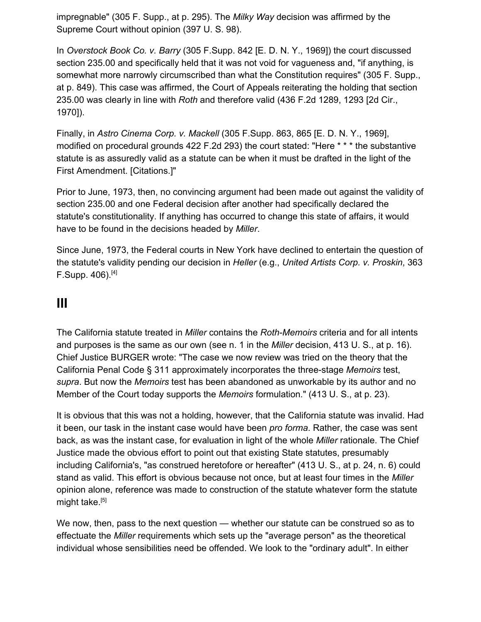impregnable" (305 F. Supp., at p. 295). The *Milky Way* decision was affirmed by the Supreme Court without opinion (397 U. S. 98).

In *Overstock Book Co. v. Barry* (305 F.Supp. 842 [E. D. N. Y., 1969]) the court discussed section 235.00 and specifically held that it was not void for vagueness and, "if anything, is somewhat more narrowly circumscribed than what the Constitution requires" (305 F. Supp., at p. 849). This case was affirmed, the Court of Appeals reiterating the holding that section 235.00 was clearly in line with *Roth* and therefore valid (436 F.2d 1289, 1293 [2d Cir., 1970]).

Finally, in *Astro Cinema Corp. v. Mackell* (305 F.Supp. 863, 865 [E. D. N. Y., 1969], modified on procedural grounds 422 F.2d 293) the court stated: "Here \* \* \* the substantive statute is as assuredly valid as a statute can be when it must be drafted in the light of the First Amendment. [Citations.]"

Prior to June, 1973, then, no convincing argument had been made out against the validity of section 235.00 and one Federal decision after another had specifically declared the statute's constitutionality. If anything has occurred to change this state of affairs, it would have to be found in the decisions headed by *Miller*.

Since June, 1973, the Federal courts in New York have declined to entertain the question of the statute's validity pending our decision in *Heller* (e.g., *United Artists Corp. v. Proskin*, 363  $F.Supp. 406$ ).<sup>[4]</sup>

## **III**

The California statute treated in *Miller* contains the *Roth-Memoirs* criteria and for all intents and purposes is the same as our own (see n. 1 in the *Miller* decision, 413 U. S., at p. 16). Chief Justice BURGER wrote: "The case we now review was tried on the theory that the California Penal Code § 311 approximately incorporates the three-stage *Memoirs* test, *supra*. But now the *Memoirs* test has been abandoned as unworkable by its author and no Member of the Court today supports the *Memoirs* formulation." (413 U. S., at p. 23).

It is obvious that this was not a holding, however, that the California statute was invalid. Had it been, our task in the instant case would have been *pro forma*. Rather, the case was sent back, as was the instant case, for evaluation in light of the whole *Miller* rationale. The Chief Justice made the obvious effort to point out that existing State statutes, presumably including California's, "as construed heretofore or hereafter" (413 U. S., at p. 24, n. 6) could stand as valid. This effort is obvious because not once, but at least four times in the *Miller* opinion alone, reference was made to construction of the statute whatever form the statute might take. $[5]$ 

We now, then, pass to the next question — whether our statute can be construed so as to effectuate the *Miller* requirements which sets up the "average person" as the theoretical individual whose sensibilities need be offended. We look to the "ordinary adult". In either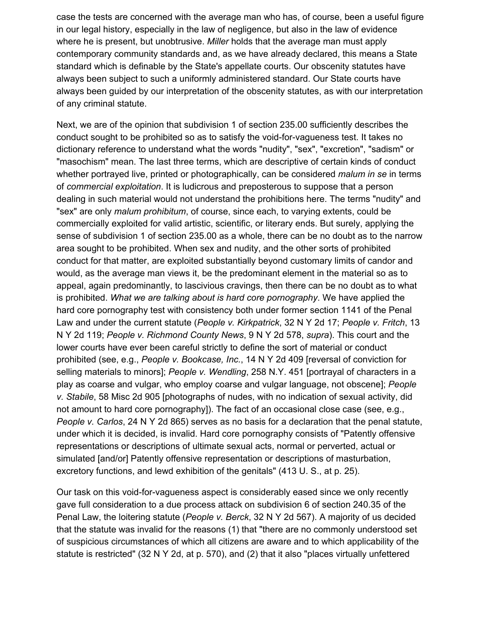case the tests are concerned with the average man who has, of course, been a useful figure in our legal history, especially in the law of negligence, but also in the law of evidence where he is present, but unobtrusive. *Miller* holds that the average man must apply contemporary community standards and, as we have already declared, this means a State standard which is definable by the State's appellate courts. Our obscenity statutes have always been subject to such a uniformly administered standard. Our State courts have always been guided by our interpretation of the obscenity statutes, as with our interpretation of any criminal statute.

Next, we are of the opinion that subdivision 1 of section 235.00 sufficiently describes the conduct sought to be prohibited so as to satisfy the void-for-vagueness test. It takes no dictionary reference to understand what the words "nudity", "sex", "excretion", "sadism" or "masochism" mean. The last three terms, which are descriptive of certain kinds of conduct whether portrayed live, printed or photographically, can be considered *malum in se* in terms of *commercial exploitation*. It is ludicrous and preposterous to suppose that a person dealing in such material would not understand the prohibitions here. The terms "nudity" and "sex" are only *malum prohibitum*, of course, since each, to varying extents, could be commercially exploited for valid artistic, scientific, or literary ends. But surely, applying the sense of subdivision 1 of section 235.00 as a whole, there can be no doubt as to the narrow area sought to be prohibited. When sex and nudity, and the other sorts of prohibited conduct for that matter, are exploited substantially beyond customary limits of candor and would, as the average man views it, be the predominant element in the material so as to appeal, again predominantly, to lascivious cravings, then there can be no doubt as to what is prohibited. *What we are talking about is hard core pornography*. We have applied the hard core pornography test with consistency both under former section 1141 of the Penal Law and under the current statute (*People v. Kirkpatrick*, 32 N Y 2d 17; *People v. Fritch*, 13 N Y 2d 119; *People v. Richmond County News*, 9 N Y 2d 578, *supra*). This court and the lower courts have ever been careful strictly to define the sort of material or conduct prohibited (see, e.g., *People v. Bookcase, Inc.*, 14 N Y 2d 409 [reversal of conviction for selling materials to minors]; *People v. Wendling*, 258 N.Y. 451 [portrayal of characters in a play as coarse and vulgar, who employ coarse and vulgar language, not obscene]; *People v. Stabile*, 58 Misc 2d 905 [photographs of nudes, with no indication of sexual activity, did not amount to hard core pornography]). The fact of an occasional close case (see, e.g., *People v. Carlos*, 24 N Y 2d 865) serves as no basis for a declaration that the penal statute, under which it is decided, is invalid. Hard core pornography consists of "Patently offensive representations or descriptions of ultimate sexual acts, normal or perverted, actual or simulated [and/or] Patently offensive representation or descriptions of masturbation, excretory functions, and lewd exhibition of the genitals" (413 U. S., at p. 25).

Our task on this void-for-vagueness aspect is considerably eased since we only recently gave full consideration to a due process attack on subdivision 6 of section 240.35 of the Penal Law, the loitering statute (*People v. Berck*, 32 N Y 2d 567). A majority of us decided that the statute was invalid for the reasons (1) that "there are no commonly understood set of suspicious circumstances of which all citizens are aware and to which applicability of the statute is restricted" (32 N Y 2d, at p. 570), and (2) that it also "places virtually unfettered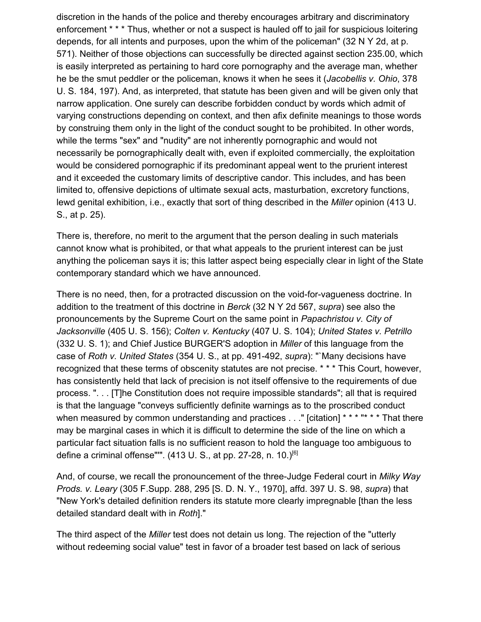discretion in the hands of the police and thereby encourages arbitrary and discriminatory enforcement \* \* \* Thus, whether or not a suspect is hauled off to jail for suspicious loitering depends, for all intents and purposes, upon the whim of the policeman" (32 N Y 2d, at p. 571). Neither of those objections can successfully be directed against section 235.00, which is easily interpreted as pertaining to hard core pornography and the average man, whether he be the smut peddler or the policeman, knows it when he sees it (*Jacobellis v. Ohio*, 378 U. S. 184, 197). And, as interpreted, that statute has been given and will be given only that narrow application. One surely can describe forbidden conduct by words which admit of varying constructions depending on context, and then afix definite meanings to those words by construing them only in the light of the conduct sought to be prohibited. In other words, while the terms "sex" and "nudity" are not inherently pornographic and would not necessarily be pornographically dealt with, even if exploited commercially, the exploitation would be considered pornographic if its predominant appeal went to the prurient interest and it exceeded the customary limits of descriptive candor. This includes, and has been limited to, offensive depictions of ultimate sexual acts, masturbation, excretory functions, lewd genital exhibition, i.e., exactly that sort of thing described in the *Miller* opinion (413 U. S., at p. 25).

There is, therefore, no merit to the argument that the person dealing in such materials cannot know what is prohibited, or that what appeals to the prurient interest can be just anything the policeman says it is; this latter aspect being especially clear in light of the State contemporary standard which we have announced.

There is no need, then, for a protracted discussion on the void-for-vagueness doctrine. In addition to the treatment of this doctrine in *Berck* (32 N Y 2d 567, *supra*) see also the pronouncements by the Supreme Court on the same point in *Papachristou v. City of Jacksonville* (405 U. S. 156); *Colten v. Kentucky* (407 U. S. 104); *United States v. Petrillo* (332 U. S. 1); and Chief Justice BURGER'S adoption in *Miller* of this language from the case of *Roth v. United States* (354 U. S., at pp. 491-492, *supra*): "`Many decisions have recognized that these terms of obscenity statutes are not precise. \* \* \* This Court, however, has consistently held that lack of precision is not itself offensive to the requirements of due process. ". . . [T]he Constitution does not require impossible standards"; all that is required is that the language "conveys sufficiently definite warnings as to the proscribed conduct when measured by common understanding and practices . . ." [citation] \* \* \* "\* \* \* That there may be marginal cases in which it is difficult to determine the side of the line on which a particular fact situation falls is no sufficient reason to hold the language too ambiguous to define a criminal offense"".  $(413 \text{ U. S.}, \text{at pp. } 27-28, \text{ n. } 10.)$ <sup>[6]</sup>

And, of course, we recall the pronouncement of the three-Judge Federal court in *Milky Way Prods. v. Leary* (305 F.Supp. 288, 295 [S. D. N. Y., 1970], affd. 397 U. S. 98, *supra*) that "New York's detailed definition renders its statute more clearly impregnable [than the less detailed standard dealt with in *Roth*]."

The third aspect of the *Miller* test does not detain us long. The rejection of the "utterly without redeeming social value" test in favor of a broader test based on lack of serious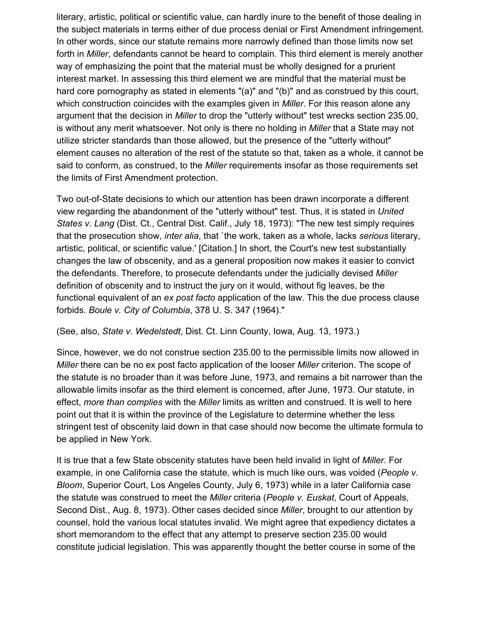literary, artistic, political or scientific value, can hardly inure to the benefit of those dealing in the subject materials in terms either of due process denial or First Amendment infringement. In other words, since our statute remains more narrowly defined than those limits now set forth in *Miller*, defendants cannot be heard to complain. This third element is merely another way of emphasizing the point that the material must be wholly designed for a prurient interest market. In assessing this third element we are mindful that the material must be hard core pornography as stated in elements "(a)" and "(b)" and as construed by this court, which construction coincides with the examples given in *Miller*. For this reason alone any argument that the decision in *Miller* to drop the "utterly without" test wrecks section 235.00, is without any merit whatsoever. Not only is there no holding in *Miller* that a State may not utilize stricter standards than those allowed, but the presence of the "utterly without" element causes no alteration of the rest of the statute so that, taken as a whole, it cannot be said to conform, as construed, to the *Miller* requirements insofar as those requirements set the limits of First Amendment protection.

Two out-of-State decisions to which our attention has been drawn incorporate a different view regarding the abandonment of the "utterly without" test. Thus, it is stated in *United States v. Lang* (Dist. Ct., Central Dist. Calif., July 18, 1973): "The new test simply requires that the prosecution show, *inter alia*, that `the work, taken as a whole, lacks *serious* literary, artistic, political, or scientific value.' [Citation.] In short, the Court's new test substantially changes the law of obscenity, and as a general proposition now makes it easier to convict the defendants. Therefore, to prosecute defendants under the judicially devised *Miller* definition of obscenity and to instruct the jury on it would, without fig leaves, be the functional equivalent of an *ex post facto* application of the law. This the due process clause forbids. *Boule v. City of Columbia*, 378 U. S. 347 (1964)."

(See, also, *State v. Wedelstedt*, Dist. Ct. Linn County, Iowa, Aug. 13, 1973.)

Since, however, we do not construe section 235.00 to the permissible limits now allowed in *Miller* there can be no ex post facto application of the looser *Miller* criterion. The scope of the statute is no broader than it was before June, 1973, and remains a bit narrower than the allowable limits insofar as the third element is concerned, after June, 1973. Our statute, in effect, *more than complies* with the *Miller* limits as written and construed. It is well to here point out that it is within the province of the Legislature to determine whether the less stringent test of obscenity laid down in that case should now become the ultimate formula to be applied in New York.

It is true that a few State obscenity statutes have been held invalid in light of *Miller*. For example, in one California case the statute, which is much like ours, was voided (*People v. Bloom*, Superior Court, Los Angeles County, July 6, 1973) while in a later California case the statute was construed to meet the *Miller* criteria (*People v. Euskat*, Court of Appeals, Second Dist., Aug. 8, 1973). Other cases decided since *Miller*, brought to our attention by counsel, hold the various local statutes invalid. We might agree that expediency dictates a short memorandom to the effect that any attempt to preserve section 235.00 would constitute judicial legislation. This was apparently thought the better course in some of the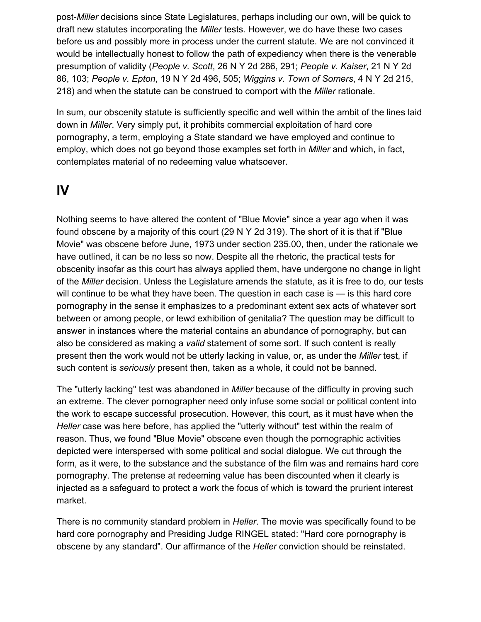post-*Miller* decisions since State Legislatures, perhaps including our own, will be quick to draft new statutes incorporating the *Miller* tests. However, we do have these two cases before us and possibly more in process under the current statute. We are not convinced it would be intellectually honest to follow the path of expediency when there is the venerable presumption of validity (*People v. Scott*, 26 N Y 2d 286, 291; *People v. Kaiser*, 21 N Y 2d 86, 103; *People v. Epton*, 19 N Y 2d 496, 505; *Wiggins v. Town of Somers*, 4 N Y 2d 215, 218) and when the statute can be construed to comport with the *Miller* rationale.

In sum, our obscenity statute is sufficiently specific and well within the ambit of the lines laid down in *Miller*. Very simply put, it prohibits commercial exploitation of hard core pornography, a term, employing a State standard we have employed and continue to employ, which does not go beyond those examples set forth in *Miller* and which, in fact, contemplates material of no redeeming value whatsoever.

## **IV**

Nothing seems to have altered the content of "Blue Movie" since a year ago when it was found obscene by a majority of this court (29 N Y 2d 319). The short of it is that if "Blue Movie" was obscene before June, 1973 under section 235.00, then, under the rationale we have outlined, it can be no less so now. Despite all the rhetoric, the practical tests for obscenity insofar as this court has always applied them, have undergone no change in light of the *Miller* decision. Unless the Legislature amends the statute, as it is free to do, our tests will continue to be what they have been. The question in each case is — is this hard core pornography in the sense it emphasizes to a predominant extent sex acts of whatever sort between or among people, or lewd exhibition of genitalia? The question may be difficult to answer in instances where the material contains an abundance of pornography, but can also be considered as making a *valid* statement of some sort. If such content is really present then the work would not be utterly lacking in value, or, as under the *Miller* test, if such content is *seriously* present then, taken as a whole, it could not be banned.

The "utterly lacking" test was abandoned in *Miller* because of the difficulty in proving such an extreme. The clever pornographer need only infuse some social or political content into the work to escape successful prosecution. However, this court, as it must have when the *Heller* case was here before, has applied the "utterly without" test within the realm of reason. Thus, we found "Blue Movie" obscene even though the pornographic activities depicted were interspersed with some political and social dialogue. We cut through the form, as it were, to the substance and the substance of the film was and remains hard core pornography. The pretense at redeeming value has been discounted when it clearly is injected as a safeguard to protect a work the focus of which is toward the prurient interest market.

There is no community standard problem in *Heller*. The movie was specifically found to be hard core pornography and Presiding Judge RINGEL stated: "Hard core pornography is obscene by any standard". Our affirmance of the *Heller* conviction should be reinstated.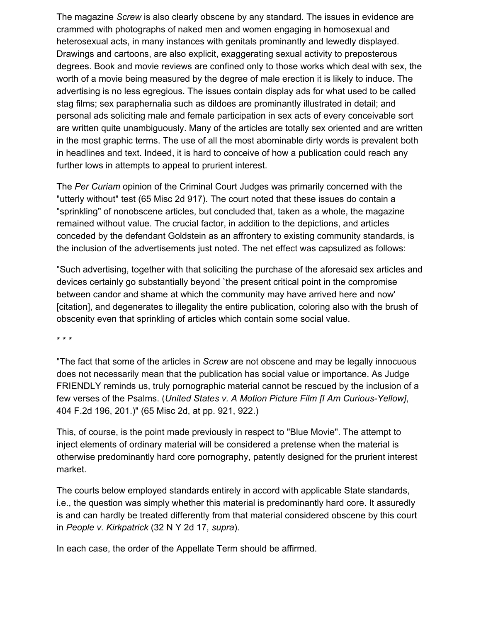The magazine *Screw* is also clearly obscene by any standard. The issues in evidence are crammed with photographs of naked men and women engaging in homosexual and heterosexual acts, in many instances with genitals prominantly and lewedly displayed. Drawings and cartoons, are also explicit, exaggerating sexual activity to preposterous degrees. Book and movie reviews are confined only to those works which deal with sex, the worth of a movie being measured by the degree of male erection it is likely to induce. The advertising is no less egregious. The issues contain display ads for what used to be called stag films; sex paraphernalia such as dildoes are prominantly illustrated in detail; and personal ads soliciting male and female participation in sex acts of every conceivable sort are written quite unambiguously. Many of the articles are totally sex oriented and are written in the most graphic terms. The use of all the most abominable dirty words is prevalent both in headlines and text. Indeed, it is hard to conceive of how a publication could reach any further lows in attempts to appeal to prurient interest.

The *Per Curiam* opinion of the Criminal Court Judges was primarily concerned with the "utterly without" test (65 Misc 2d 917). The court noted that these issues do contain a "sprinkling" of nonobscene articles, but concluded that, taken as a whole, the magazine remained without value. The crucial factor, in addition to the depictions, and articles conceded by the defendant Goldstein as an affrontery to existing community standards, is the inclusion of the advertisements just noted. The net effect was capsulized as follows:

"Such advertising, together with that soliciting the purchase of the aforesaid sex articles and devices certainly go substantially beyond `the present critical point in the compromise between candor and shame at which the community may have arrived here and now' [citation], and degenerates to illegality the entire publication, coloring also with the brush of obscenity even that sprinkling of articles which contain some social value.

\* \* \*

"The fact that some of the articles in *Screw* are not obscene and may be legally innocuous does not necessarily mean that the publication has social value or importance. As Judge FRIENDLY reminds us, truly pornographic material cannot be rescued by the inclusion of a few verses of the Psalms. (*United States v. A Motion Picture Film [I Am Curious-Yellow]*, 404 F.2d 196, 201.)" (65 Misc 2d, at pp. 921, 922.)

This, of course, is the point made previously in respect to "Blue Movie". The attempt to inject elements of ordinary material will be considered a pretense when the material is otherwise predominantly hard core pornography, patently designed for the prurient interest market.

The courts below employed standards entirely in accord with applicable State standards, i.e., the question was simply whether this material is predominantly hard core. It assuredly is and can hardly be treated differently from that material considered obscene by this court in *People v. Kirkpatrick* (32 N Y 2d 17, *supra*).

In each case, the order of the Appellate Term should be affirmed.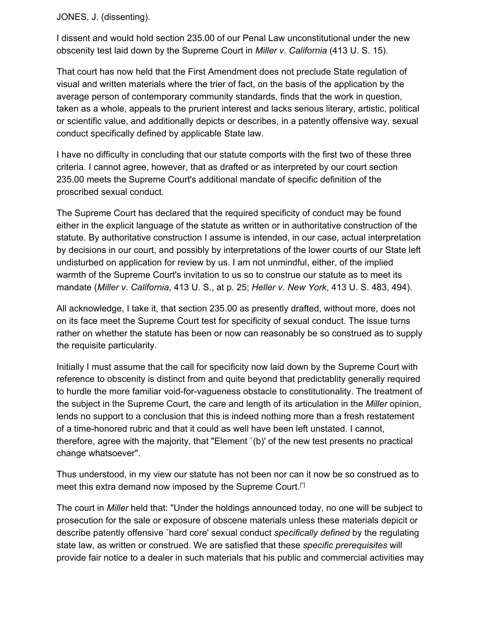JONES, J. (dissenting).

I dissent and would hold section 235.00 of our Penal Law unconstitutional under the new obscenity test laid down by the Supreme Court in *Miller v. California* (413 U. S. 15).

That court has now held that the First Amendment does not preclude State regulation of visual and written materials where the trier of fact, on the basis of the application by the average person of contemporary community standards, finds that the work in question, taken as a whole, appeals to the prurient interest and lacks serious literary, artistic, political or scientific value, and additionally depicts or describes, in a patently offensive way, sexual conduct specifically defined by applicable State law.

I have no difficulty in concluding that our statute comports with the first two of these three criteria. I cannot agree, however, that as drafted or as interpreted by our court section 235.00 meets the Supreme Court's additional mandate of specific definition of the proscribed sexual conduct.

The Supreme Court has declared that the required specificity of conduct may be found either in the explicit language of the statute as written or in authoritative construction of the statute. By authoritative construction I assume is intended, in our case, actual interpretation by decisions in our court, and possibly by interpretations of the lower courts of our State left undisturbed on application for review by us. I am not unmindful, either, of the implied warmth of the Supreme Court's invitation to us so to construe our statute as to meet its mandate (*Miller v. California*, 413 U. S., at p. 25; *Heller v. New York*, 413 U. S. 483, 494).

All acknowledge, I take it, that section 235.00 as presently drafted, without more, does not on its face meet the Supreme Court test for specificity of sexual conduct. The issue turns rather on whether the statute has been or now can reasonably be so construed as to supply the requisite particularity.

Initially I must assume that the call for specificity now laid down by the Supreme Court with reference to obscenity is distinct from and quite beyond that predictablity generally required to hurdle the more familiar void-for-vagueness obstacle to constitutionality. The treatment of the subject in the Supreme Court, the care and length of its articulation in the *Miller* opinion, lends no support to a conclusion that this is indeed nothing more than a fresh restatement of a time-honored rubric and that it could as well have been left unstated. I cannot, therefore, agree with the majority, that "Element `(b)' of the new test presents no practical change whatsoever".

Thus understood, in my view our statute has not been nor can it now be so construed as to meet this extra demand now imposed by the Supreme Court.<sup>[\*]</sup>

The court in *Miller* held that: "Under the holdings announced today, no one will be subject to prosecution for the sale or exposure of obscene materials unless these materials depicit or describe patently offensive `hard core' sexual conduct *specifically defined* by the regulating state law, as written or construed. We are satisfied that these *specific prerequisites* will provide fair notice to a dealer in such materials that his public and commercial activities may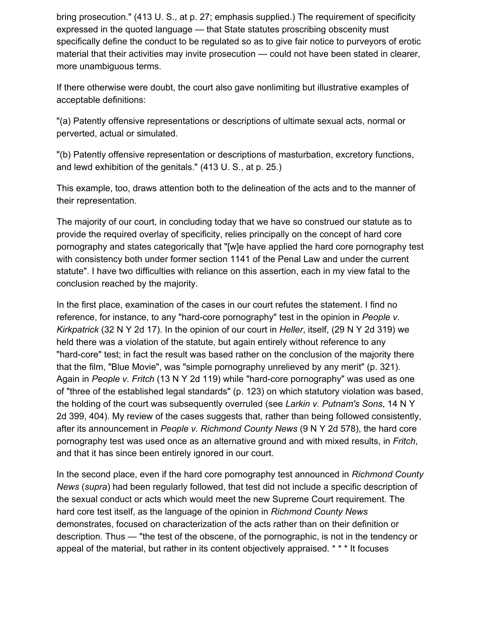bring prosecution." (413 U. S., at p. 27; emphasis supplied.) The requirement of specificity expressed in the quoted language — that State statutes proscribing obscenity must specifically define the conduct to be regulated so as to give fair notice to purveyors of erotic material that their activities may invite prosecution — could not have been stated in clearer, more unambiguous terms.

If there otherwise were doubt, the court also gave nonlimiting but illustrative examples of acceptable definitions:

"(a) Patently offensive representations or descriptions of ultimate sexual acts, normal or perverted, actual or simulated.

"(b) Patently offensive representation or descriptions of masturbation, excretory functions, and lewd exhibition of the genitals." (413 U. S., at p. 25.)

This example, too, draws attention both to the delineation of the acts and to the manner of their representation.

The majority of our court, in concluding today that we have so construed our statute as to provide the required overlay of specificity, relies principally on the concept of hard core pornography and states categorically that "[w]e have applied the hard core pornography test with consistency both under former section 1141 of the Penal Law and under the current statute". I have two difficulties with reliance on this assertion, each in my view fatal to the conclusion reached by the majority.

In the first place, examination of the cases in our court refutes the statement. I find no reference, for instance, to any "hard-core pornography" test in the opinion in *People v. Kirkpatrick* (32 N Y 2d 17). In the opinion of our court in *Heller*, itself, (29 N Y 2d 319) we held there was a violation of the statute, but again entirely without reference to any "hard-core" test; in fact the result was based rather on the conclusion of the majority there that the film, "Blue Movie", was "simple pornography unrelieved by any merit" (p. 321). Again in *People v. Fritch* (13 N Y 2d 119) while "hard-core pornography" was used as one of "three of the established legal standards" (p. 123) on which statutory violation was based, the holding of the court was subsequently overruled (see *Larkin v. Putnam's Sons*, 14 N Y 2d 399, 404). My review of the cases suggests that, rather than being followed consistently, after its announcement in *People v. Richmond County News* (9 N Y 2d 578), the hard core pornography test was used once as an alternative ground and with mixed results, in *Fritch*, and that it has since been entirely ignored in our court.

In the second place, even if the hard core pornography test announced in *Richmond County News* (*supra*) had been regularly followed, that test did not include a specific description of the sexual conduct or acts which would meet the new Supreme Court requirement. The hard core test itself, as the language of the opinion in *Richmond County News* demonstrates, focused on characterization of the acts rather than on their definition or description. Thus — "the test of the obscene, of the pornographic, is not in the tendency or appeal of the material, but rather in its content objectively appraised. \* \* \* It focuses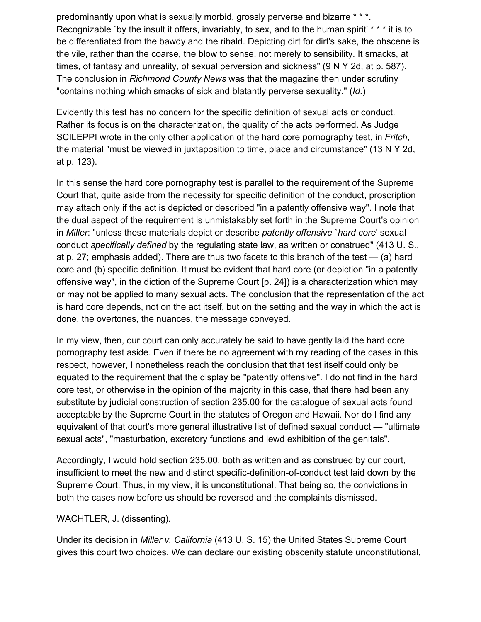predominantly upon what is sexually morbid, grossly perverse and bizarre \*\*\*. Recognizable `by the insult it offers, invariably, to sex, and to the human spirit' \* \* \* it is to be differentiated from the bawdy and the ribald. Depicting dirt for dirt's sake, the obscene is the vile, rather than the coarse, the blow to sense, not merely to sensibility. It smacks, at times, of fantasy and unreality, of sexual perversion and sickness" (9 N Y 2d, at p. 587). The conclusion in *Richmond County News* was that the magazine then under scrutiny "contains nothing which smacks of sick and blatantly perverse sexuality." (*Id.*)

Evidently this test has no concern for the specific definition of sexual acts or conduct. Rather its focus is on the characterization, the quality of the acts performed. As Judge SCILEPPI wrote in the only other application of the hard core pornography test, in *Fritch*, the material "must be viewed in juxtaposition to time, place and circumstance" (13 N Y 2d, at p. 123).

In this sense the hard core pornography test is parallel to the requirement of the Supreme Court that, quite aside from the necessity for specific definition of the conduct, proscription may attach only if the act is depicted or described "in a patently offensive way". I note that the dual aspect of the requirement is unmistakably set forth in the Supreme Court's opinion in *Miller*: "unless these materials depict or describe *patently offensive* `*hard core*' sexual conduct *specifically defined* by the regulating state law, as written or construed" (413 U. S., at p. 27; emphasis added). There are thus two facets to this branch of the test — (a) hard core and (b) specific definition. It must be evident that hard core (or depiction "in a patently offensive way", in the diction of the Supreme Court [p. 24]) is a characterization which may or may not be applied to many sexual acts. The conclusion that the representation of the act is hard core depends, not on the act itself, but on the setting and the way in which the act is done, the overtones, the nuances, the message conveyed.

In my view, then, our court can only accurately be said to have gently laid the hard core pornography test aside. Even if there be no agreement with my reading of the cases in this respect, however, I nonetheless reach the conclusion that that test itself could only be equated to the requirement that the display be "patently offensive". I do not find in the hard core test, or otherwise in the opinion of the majority in this case, that there had been any substitute by judicial construction of section 235.00 for the catalogue of sexual acts found acceptable by the Supreme Court in the statutes of Oregon and Hawaii. Nor do I find any equivalent of that court's more general illustrative list of defined sexual conduct — "ultimate sexual acts", "masturbation, excretory functions and lewd exhibition of the genitals".

Accordingly, I would hold section 235.00, both as written and as construed by our court, insufficient to meet the new and distinct specific-definition-of-conduct test laid down by the Supreme Court. Thus, in my view, it is unconstitutional. That being so, the convictions in both the cases now before us should be reversed and the complaints dismissed.

#### WACHTLER, J. (dissenting).

Under its decision in *Miller v. California* (413 U. S. 15) the United States Supreme Court gives this court two choices. We can declare our existing obscenity statute unconstitutional,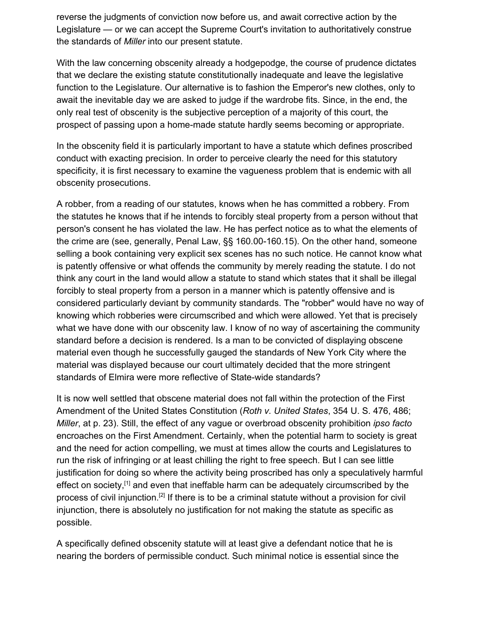reverse the judgments of conviction now before us, and await corrective action by the Legislature — or we can accept the Supreme Court's invitation to authoritatively construe the standards of *Miller* into our present statute.

With the law concerning obscenity already a hodgepodge, the course of prudence dictates that we declare the existing statute constitutionally inadequate and leave the legislative function to the Legislature. Our alternative is to fashion the Emperor's new clothes, only to await the inevitable day we are asked to judge if the wardrobe fits. Since, in the end, the only real test of obscenity is the subjective perception of a majority of this court, the prospect of passing upon a home-made statute hardly seems becoming or appropriate.

In the obscenity field it is particularly important to have a statute which defines proscribed conduct with exacting precision. In order to perceive clearly the need for this statutory specificity, it is first necessary to examine the vagueness problem that is endemic with all obscenity prosecutions.

A robber, from a reading of our statutes, knows when he has committed a robbery. From the statutes he knows that if he intends to forcibly steal property from a person without that person's consent he has violated the law. He has perfect notice as to what the elements of the crime are (see, generally, Penal Law, §§ 160.00-160.15). On the other hand, someone selling a book containing very explicit sex scenes has no such notice. He cannot know what is patently offensive or what offends the community by merely reading the statute. I do not think any court in the land would allow a statute to stand which states that it shall be illegal forcibly to steal property from a person in a manner which is patently offensive and is considered particularly deviant by community standards. The "robber" would have no way of knowing which robberies were circumscribed and which were allowed. Yet that is precisely what we have done with our obscenity law. I know of no way of ascertaining the community standard before a decision is rendered. Is a man to be convicted of displaying obscene material even though he successfully gauged the standards of New York City where the material was displayed because our court ultimately decided that the more stringent standards of Elmira were more reflective of State-wide standards?

It is now well settled that obscene material does not fall within the protection of the First Amendment of the United States Constitution (*Roth v. United States*, 354 U. S. 476, 486; *Miller*, at p. 23). Still, the effect of any vague or overbroad obscenity prohibition *ipso facto* encroaches on the First Amendment. Certainly, when the potential harm to society is great and the need for action compelling, we must at times allow the courts and Legislatures to run the risk of infringing or at least chilling the right to free speech. But I can see little justification for doing so where the activity being proscribed has only a speculatively harmful effect on society,  $[1]$  and even that ineffable harm can be adequately circumscribed by the process of civil injunction.<sup>[2]</sup> If there is to be a criminal statute without a provision for civil injunction, there is absolutely no justification for not making the statute as specific as possible.

A specifically defined obscenity statute will at least give a defendant notice that he is nearing the borders of permissible conduct. Such minimal notice is essential since the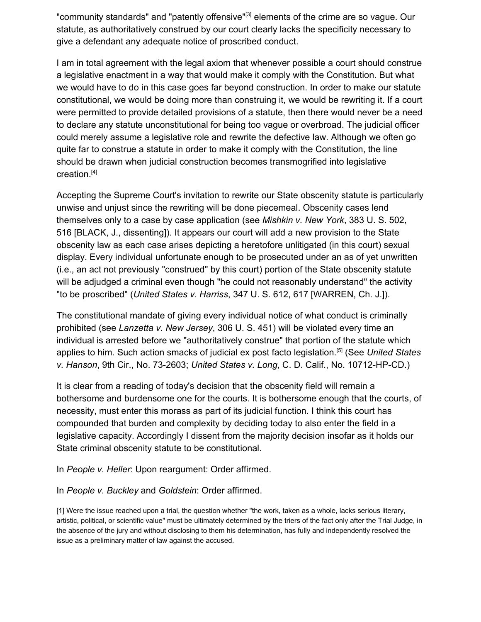"community standards" and "patently offensive"<sup>[3]</sup> elements of the crime are so vague. Our statute, as authoritatively construed by our court clearly lacks the specificity necessary to give a defendant any adequate notice of proscribed conduct.

I am in total agreement with the legal axiom that whenever possible a court should construe a legislative enactment in a way that would make it comply with the Constitution. But what we would have to do in this case goes far beyond construction. In order to make our statute constitutional, we would be doing more than construing it, we would be rewriting it. If a court were permitted to provide detailed provisions of a statute, then there would never be a need to declare any statute unconstitutional for being too vague or overbroad. The judicial officer could merely assume a legislative role and rewrite the defective law. Although we often go quite far to construe a statute in order to make it comply with the Constitution, the line should be drawn when judicial construction becomes transmogrified into legislative creation.[4]

Accepting the Supreme Court's invitation to rewrite our State obscenity statute is particularly unwise and unjust since the rewriting will be done piecemeal. Obscenity cases lend themselves only to a case by case application (see *Mishkin v. New York*, 383 U. S. 502, 516 [BLACK, J., dissenting]). It appears our court will add a new provision to the State obscenity law as each case arises depicting a heretofore unlitigated (in this court) sexual display. Every individual unfortunate enough to be prosecuted under an as of yet unwritten (i.e., an act not previously "construed" by this court) portion of the State obscenity statute will be adjudged a criminal even though "he could not reasonably understand" the activity "to be proscribed" (*United States v. Harriss*, 347 U. S. 612, 617 [WARREN, Ch. J.]).

The constitutional mandate of giving every individual notice of what conduct is criminally prohibited (see *Lanzetta v. New Jersey*, 306 U. S. 451) will be violated every time an individual is arrested before we "authoritatively construe" that portion of the statute which applies to him. Such action smacks of judicial ex post facto legislation.[5] (See *United States v. Hanson*, 9th Cir., No. 73-2603; *United States v. Long*, C. D. Calif., No. 10712-HP-CD.)

It is clear from a reading of today's decision that the obscenity field will remain a bothersome and burdensome one for the courts. It is bothersome enough that the courts, of necessity, must enter this morass as part of its judicial function. I think this court has compounded that burden and complexity by deciding today to also enter the field in a legislative capacity. Accordingly I dissent from the majority decision insofar as it holds our State criminal obscenity statute to be constitutional.

In *People v. Heller*: Upon reargument: Order affirmed.

In *People v. Buckley* and *Goldstein*: Order affirmed.

[1] Were the issue reached upon a trial, the question whether "the work, taken as a whole, lacks serious literary, artistic, political, or scientific value" must be ultimately determined by the triers of the fact only after the Trial Judge, in the absence of the jury and without disclosing to them his determination, has fully and independently resolved the issue as a preliminary matter of law against the accused.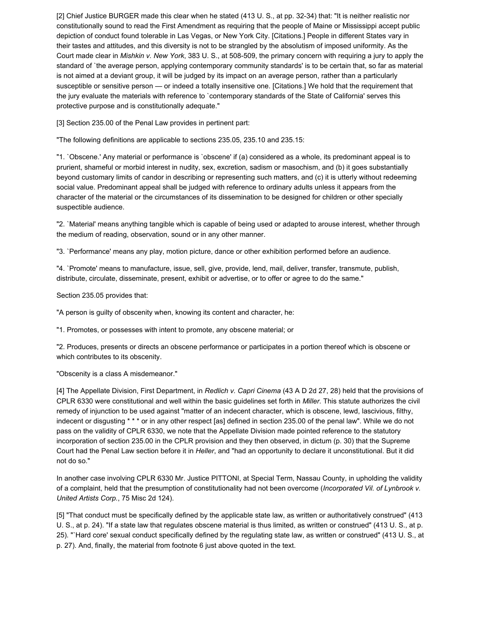[2] Chief Justice BURGER made this clear when he stated (413 U. S., at pp. 32-34) that: "It is neither realistic nor constitutionally sound to read the First Amendment as requiring that the people of Maine or Mississippi accept public depiction of conduct found tolerable in Las Vegas, or New York City. [Citations.] People in different States vary in their tastes and attitudes, and this diversity is not to be strangled by the absolutism of imposed uniformity. As the Court made clear in *Mishkin v. New York*, 383 U. S., at 508-509, the primary concern with requiring a jury to apply the standard of `the average person, applying contemporary community standards' is to be certain that, so far as material is not aimed at a deviant group, it will be judged by its impact on an average person, rather than a particularly susceptible or sensitive person — or indeed a totally insensitive one. [Citations.] We hold that the requirement that the jury evaluate the materials with reference to `contemporary standards of the State of California' serves this protective purpose and is constitutionally adequate."

[3] Section 235.00 of the Penal Law provides in pertinent part:

"The following definitions are applicable to sections 235.05, 235.10 and 235.15:

"1. `Obscene.' Any material or performance is `obscene' if (a) considered as a whole, its predominant appeal is to prurient, shameful or morbid interest in nudity, sex, excretion, sadism or masochism, and (b) it goes substantially beyond customary limits of candor in describing or representing such matters, and (c) it is utterly without redeeming social value. Predominant appeal shall be judged with reference to ordinary adults unless it appears from the character of the material or the circumstances of its dissemination to be designed for children or other specially suspectible audience.

"2. `Material' means anything tangible which is capable of being used or adapted to arouse interest, whether through the medium of reading, observation, sound or in any other manner.

"3. `Performance' means any play, motion picture, dance or other exhibition performed before an audience.

"4. `Promote' means to manufacture, issue, sell, give, provide, lend, mail, deliver, transfer, transmute, publish, distribute, circulate, disseminate, present, exhibit or advertise, or to offer or agree to do the same."

Section 235.05 provides that:

"A person is guilty of obscenity when, knowing its content and character, he:

"1. Promotes, or possesses with intent to promote, any obscene material; or

"2. Produces, presents or directs an obscene performance or participates in a portion thereof which is obscene or which contributes to its obscenity.

"Obscenity is a class A misdemeanor."

[4] The Appellate Division, First Department, in *Redlich v. Capri Cinema* (43 A D 2d 27, 28) held that the provisions of CPLR 6330 were constitutional and well within the basic guidelines set forth in *Miller*. This statute authorizes the civil remedy of injunction to be used against "matter of an indecent character, which is obscene, lewd, lascivious, filthy, indecent or disgusting \* \* \* or in any other respect [as] defined in section 235.00 of the penal law". While we do not pass on the validity of CPLR 6330, we note that the Appellate Division made pointed reference to the statutory incorporation of section 235.00 in the CPLR provision and they then observed, in dictum (p. 30) that the Supreme Court had the Penal Law section before it in *Heller*, and "had an opportunity to declare it unconstitutional. But it did not do so."

In another case involving CPLR 6330 Mr. Justice PITTONI, at Special Term, Nassau County, in upholding the validity of a complaint, held that the presumption of constitutionality had not been overcome (*Incorporated Vil. of Lynbrook v. United Artists Corp.*, 75 Misc 2d 124).

[5] "That conduct must be specifically defined by the applicable state law, as written or authoritatively construed" (413 U. S., at p. 24). "If a state law that regulates obscene material is thus limited, as written or construed" (413 U. S., at p. 25). "`Hard core' sexual conduct specifically defined by the regulating state law, as written or construed" (413 U. S., at p. 27). And, finally, the material from footnote 6 just above quoted in the text.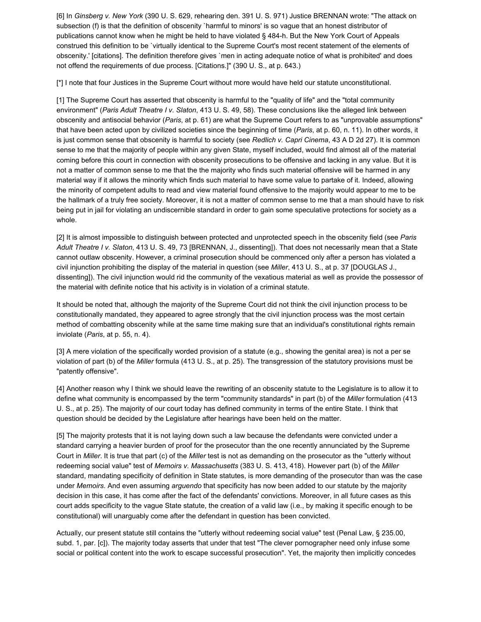[6] In *Ginsberg v. New York* (390 U. S. 629, rehearing den. 391 U. S. 971) Justice BRENNAN wrote: "The attack on subsection (f) is that the definition of obscenity `harmful to minors' is so vague that an honest distributor of publications cannot know when he might be held to have violated § 484-h. But the New York Court of Appeals construed this definition to be `virtually identical to the Supreme Court's most recent statement of the elements of obscenity.' [citations]. The definition therefore gives `men in acting adequate notice of what is prohibited' and does not offend the requirements of due process. [Citations.]" (390 U. S., at p. 643.)

[\*] I note that four Justices in the Supreme Court without more would have held our statute unconstitutional.

[1] The Supreme Court has asserted that obscenity is harmful to the "quality of life" and the "total community environment" (*Paris Adult Theatre I v. Slaton*, 413 U. S. 49, 58). These conclusions like the alleged link between obscenity and antisocial behavior (*Paris*, at p. 61) are what the Supreme Court refers to as "unprovable assumptions" that have been acted upon by civilized societies since the beginning of time (*Paris*, at p. 60, n. 11). In other words, it is just common sense that obscenity is harmful to society (see *Redlich v. Capri Cinema*, 43 A D 2d 27). It is common sense to me that the majority of people within any given State, myself included, would find almost all of the material coming before this court in connection with obscenity prosecutions to be offensive and lacking in any value. But it is not a matter of common sense to me that the the majority who finds such material offensive will be harmed in any material way if it allows the minority which finds such material to have some value to partake of it. Indeed, allowing the minority of competent adults to read and view material found offensive to the majority would appear to me to be the hallmark of a truly free society. Moreover, it is not a matter of common sense to me that a man should have to risk being put in jail for violating an undiscernible standard in order to gain some speculative protections for society as a whole.

[2] It is almost impossible to distinguish between protected and unprotected speech in the obscenity field (see *Paris Adult Theatre I v. Slaton*, 413 U. S. 49, 73 [BRENNAN, J., dissenting]). That does not necessarily mean that a State cannot outlaw obscenity. However, a criminal prosecution should be commenced only after a person has violated a civil injunction prohibiting the display of the material in question (see *Miller*, 413 U. S., at p. 37 [DOUGLAS J., dissenting]). The civil injunction would rid the community of the vexatious material as well as provide the possessor of the material with definite notice that his activity is in violation of a criminal statute.

It should be noted that, although the majority of the Supreme Court did not think the civil injunction process to be constitutionally mandated, they appeared to agree strongly that the civil injunction process was the most certain method of combatting obscenity while at the same time making sure that an individual's constitutional rights remain inviolate (*Paris*, at p. 55, n. 4).

[3] A mere violation of the specifically worded provision of a statute (e.g., showing the genital area) is not a per se violation of part (b) of the *Miller* formula (413 U. S., at p. 25). The transgression of the statutory provisions must be "patently offensive".

[4] Another reason why I think we should leave the rewriting of an obscenity statute to the Legislature is to allow it to define what community is encompassed by the term "community standards" in part (b) of the *Miller* formulation (413 U. S., at p. 25). The majority of our court today has defined community in terms of the entire State. I think that question should be decided by the Legislature after hearings have been held on the matter.

[5] The majority protests that it is not laying down such a law because the defendants were convicted under a standard carrying a heavier burden of proof for the prosecutor than the one recently annunciated by the Supreme Court in *Miller*. It is true that part (c) of the *Miller* test is not as demanding on the prosecutor as the "utterly without redeeming social value" test of *Memoirs v. Massachusetts* (383 U. S. 413, 418). However part (b) of the *Miller* standard, mandating specificity of definition in State statutes, is more demanding of the prosecutor than was the case under *Memoirs*. And even assuming *arguendo* that specificity has now been added to our statute by the majority decision in this case, it has come after the fact of the defendants' convictions. Moreover, in all future cases as this court adds specificity to the vague State statute, the creation of a valid law (i.e., by making it specific enough to be constitutional) will unarguably come after the defendant in question has been convicted.

Actually, our present statute still contains the "utterly without redeeming social value" test (Penal Law, § 235.00, subd. 1, par. [c]). The majority today asserts that under that test "The clever pornographer need only infuse some social or political content into the work to escape successful prosecution". Yet, the majority then implicitly concedes